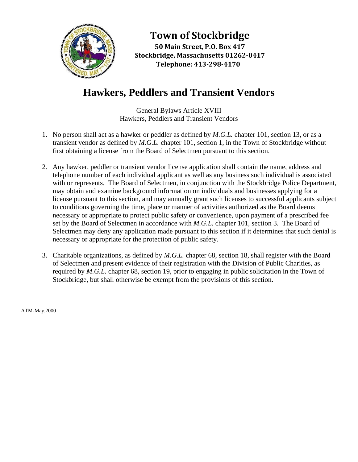

**Town of Stockbridge**

**50 Main Street, P.O. Box 417 Stockbridge, Massachusetts 01262-0417 Telephone: 413-298-4170**

## **Hawkers, Peddlers and Transient Vendors**

General Bylaws Article XVIII Hawkers, Peddlers and Transient Vendors

- 1. No person shall act as a hawker or peddler as defined by *M.G.L.* chapter 101, section 13, or as a transient vendor as defined by *M.G.L.* chapter 101, section 1, in the Town of Stockbridge without first obtaining a license from the Board of Selectmen pursuant to this section.
- 2. Any hawker, peddler or transient vendor license application shall contain the name, address and telephone number of each individual applicant as well as any business such individual is associated with or represents. The Board of Selectmen, in conjunction with the Stockbridge Police Department, may obtain and examine background information on individuals and businesses applying for a license pursuant to this section, and may annually grant such licenses to successful applicants subject to conditions governing the time, place or manner of activities authorized as the Board deems necessary or appropriate to protect public safety or convenience, upon payment of a prescribed fee set by the Board of Selectmen in accordance with *M.G.L.* chapter 101, section 3. The Board of Selectmen may deny any application made pursuant to this section if it determines that such denial is necessary or appropriate for the protection of public safety.
- 3. Charitable organizations, as defined by *M.G.L.* chapter 68, section 18, shall register with the Board of Selectmen and present evidence of their registration with the Division of Public Charities, as required by *M.G.L.* chapter 68, section 19, prior to engaging in public solicitation in the Town of Stockbridge, but shall otherwise be exempt from the provisions of this section.

ATM-May,2000